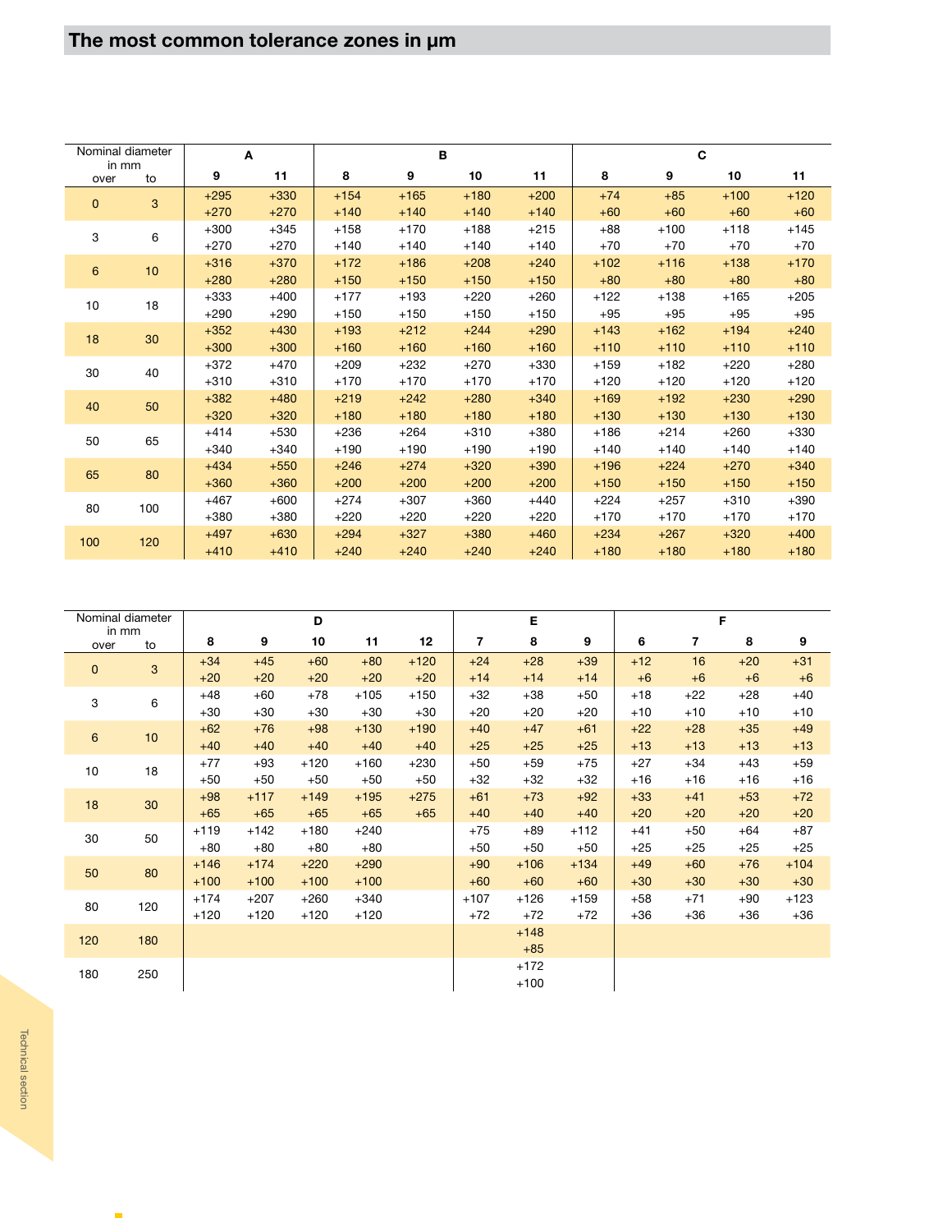|               | Nominal diameter | A      |        |        | B      |        |        |        | C      |        |        |
|---------------|------------------|--------|--------|--------|--------|--------|--------|--------|--------|--------|--------|
| in mm<br>over | to               | 9      | 11     | 8      | 9      | 10     | 11     | 8      | 9      | 10     | 11     |
| $\mathbf{0}$  | 3                | $+295$ | $+330$ | $+154$ | $+165$ | $+180$ | $+200$ | $+74$  | $+85$  | $+100$ | $+120$ |
|               |                  | $+270$ | $+270$ | $+140$ | $+140$ | $+140$ | $+140$ | $+60$  | $+60$  | $+60$  | $+60$  |
| 3             | 6                | $+300$ | $+345$ | $+158$ | $+170$ | $+188$ | $+215$ | $+88$  | $+100$ | $+118$ | $+145$ |
|               |                  | $+270$ | $+270$ | $+140$ | $+140$ | $+140$ | $+140$ | $+70$  | $+70$  | $+70$  | $+70$  |
| 6             | 10               | $+316$ | $+370$ | $+172$ | $+186$ | $+208$ | $+240$ | $+102$ | $+116$ | $+138$ | $+170$ |
|               |                  | $+280$ | $+280$ | $+150$ | $+150$ | $+150$ | $+150$ | $+80$  | $+80$  | $+80$  | $+80$  |
| 10            | 18               | $+333$ | $+400$ | $+177$ | $+193$ | $+220$ | $+260$ | $+122$ | $+138$ | $+165$ | $+205$ |
|               |                  | $+290$ | $+290$ | $+150$ | $+150$ | $+150$ | $+150$ | $+95$  | $+95$  | $+95$  | $+95$  |
| 18            | 30               | $+352$ | $+430$ | $+193$ | $+212$ | $+244$ | $+290$ | $+143$ | $+162$ | $+194$ | $+240$ |
|               |                  | $+300$ | $+300$ | $+160$ | $+160$ | $+160$ | $+160$ | $+110$ | $+110$ | $+110$ | $+110$ |
| 30            | 40               | $+372$ | $+470$ | $+209$ | $+232$ | $+270$ | $+330$ | $+159$ | $+182$ | $+220$ | $+280$ |
|               |                  | $+310$ | $+310$ | $+170$ | $+170$ | $+170$ | $+170$ | $+120$ | $+120$ | $+120$ | $+120$ |
| 40            | 50               | $+382$ | $+480$ | $+219$ | $+242$ | $+280$ | $+340$ | $+169$ | $+192$ | $+230$ | $+290$ |
|               |                  | $+320$ | $+320$ | $+180$ | $+180$ | $+180$ | $+180$ | $+130$ | $+130$ | $+130$ | $+130$ |
| 50            | 65               | $+414$ | $+530$ | $+236$ | $+264$ | $+310$ | $+380$ | $+186$ | $+214$ | $+260$ | $+330$ |
|               |                  | $+340$ | $+340$ | $+190$ | $+190$ | $+190$ | $+190$ | $+140$ | $+140$ | $+140$ | $+140$ |
| 65            | 80               | $+434$ | $+550$ | $+246$ | $+274$ | $+320$ | $+390$ | $+196$ | $+224$ | $+270$ | $+340$ |
|               |                  | $+360$ | $+360$ | $+200$ | $+200$ | $+200$ | $+200$ | $+150$ | $+150$ | $+150$ | $+150$ |
| 80            | 100              | $+467$ | $+600$ | $+274$ | $+307$ | $+360$ | $+440$ | $+224$ | $+257$ | $+310$ | $+390$ |
|               |                  | $+380$ | $+380$ | $+220$ | $+220$ | $+220$ | $+220$ | $+170$ | $+170$ | $+170$ | $+170$ |
| 100           | 120              | $+497$ | $+630$ | $+294$ | $+327$ | $+380$ | $+460$ | $+234$ | $+267$ | $+320$ | $+400$ |
|               |                  | $+410$ | $+410$ | $+240$ | $+240$ | $+240$ | $+240$ | $+180$ | $+180$ | $+180$ | $+180$ |

|              | Nominal diameter<br>in mm |        |        | D      |        |        |                | Е      |        |       |                          | F     |        |
|--------------|---------------------------|--------|--------|--------|--------|--------|----------------|--------|--------|-------|--------------------------|-------|--------|
| over         | to                        | 8      | 9      | 10     | 11     | 12     | $\overline{7}$ | 8      | 9      | 6     | $\overline{\phantom{a}}$ | 8     | 9      |
|              | 3                         | $+34$  | $+45$  | $+60$  | $+80$  | $+120$ | $+24$          | $+28$  | $+39$  | $+12$ | 16                       | $+20$ | $+31$  |
| $\mathbf{0}$ |                           | $+20$  | $+20$  | $+20$  | $+20$  | $+20$  | $+14$          | $+14$  | $+14$  | $+6$  | $+6$                     | $+6$  | $+6$   |
| 3            | 6                         | $+48$  | $+60$  | $+78$  | $+105$ | $+150$ | $+32$          | $+38$  | $+50$  | $+18$ | $+22$                    | $+28$ | $+40$  |
|              |                           | $+30$  | $+30$  | $+30$  | $+30$  | $+30$  | $+20$          | $+20$  | $+20$  | $+10$ | $+10$                    | $+10$ | $+10$  |
| 6            | 10                        | $+62$  | $+76$  | $+98$  | $+130$ | $+190$ | $+40$          | $+47$  | $+61$  | $+22$ | $+28$                    | $+35$ | $+49$  |
|              |                           | $+40$  | $+40$  | $+40$  | $+40$  | $+40$  | $+25$          | $+25$  | $+25$  | $+13$ | $+13$                    | $+13$ | $+13$  |
| 10           | 18                        | $+77$  | $+93$  | $+120$ | $+160$ | $+230$ | $+50$          | $+59$  | $+75$  | $+27$ | $+34$                    | $+43$ | $+59$  |
|              |                           | $+50$  | $+50$  | $+50$  | $+50$  | $+50$  | $+32$          | $+32$  | $+32$  | $+16$ | $+16$                    | $+16$ | $+16$  |
| 18           | 30                        | $+98$  | $+117$ | $+149$ | $+195$ | $+275$ | $+61$          | $+73$  | $+92$  | $+33$ | $+41$                    | $+53$ | $+72$  |
|              |                           | $+65$  | $+65$  | $+65$  | $+65$  | $+65$  | $+40$          | $+40$  | $+40$  | $+20$ | $+20$                    | $+20$ | $+20$  |
| 30           | 50                        | $+119$ | $+142$ | $+180$ | $+240$ |        | $+75$          | +89    | $+112$ | $+41$ | $+50$                    | $+64$ | $+87$  |
|              |                           | $+80$  | $+80$  | $+80$  | $+80$  |        | $+50$          | $+50$  | $+50$  | $+25$ | $+25$                    | $+25$ | $+25$  |
| 50           | 80                        | $+146$ | $+174$ | $+220$ | $+290$ |        | $+90$          | $+106$ | $+134$ | $+49$ | $+60$                    | $+76$ | $+104$ |
|              |                           | $+100$ | $+100$ | $+100$ | $+100$ |        | $+60$          | $+60$  | $+60$  | $+30$ | $+30$                    | $+30$ | $+30$  |
| 80           | 120                       | $+174$ | $+207$ | $+260$ | $+340$ |        | $+107$         | $+126$ | $+159$ | +58   | $+71$                    | $+90$ | $+123$ |
|              |                           | $+120$ | $+120$ | $+120$ | $+120$ |        | $+72$          | $+72$  | $+72$  | $+36$ | $+36$                    | $+36$ | $+36$  |
| 120          | 180                       |        |        |        |        |        |                | $+148$ |        |       |                          |       |        |
|              |                           |        |        |        |        |        |                | $+85$  |        |       |                          |       |        |
| 180          | 250                       |        |        |        |        |        |                | $+172$ |        |       |                          |       |        |
|              |                           |        |        |        |        |        |                | $+100$ |        |       |                          |       |        |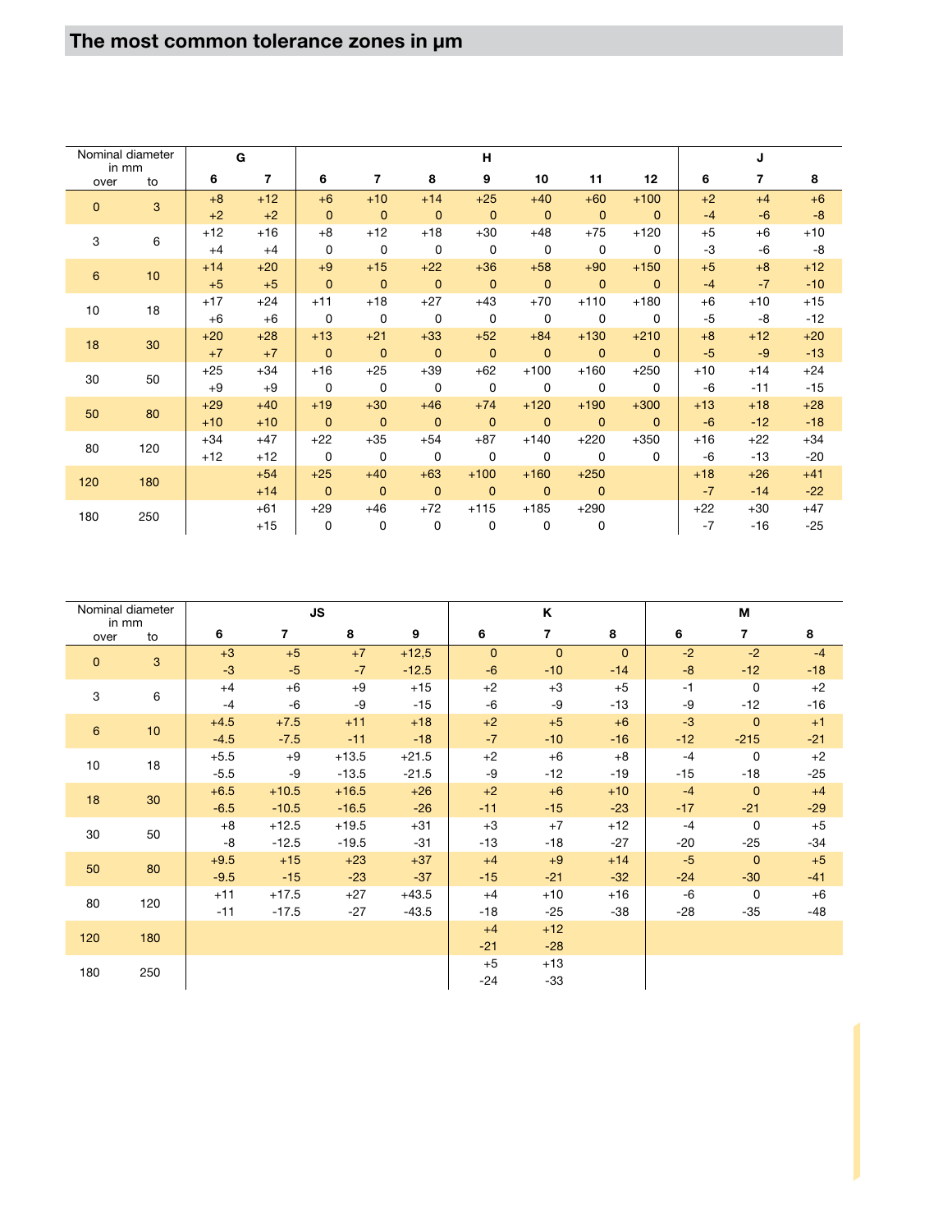| Nominal diameter |     |       | G              |                |                |                | н                       |                |                |                |       | J     |       |
|------------------|-----|-------|----------------|----------------|----------------|----------------|-------------------------|----------------|----------------|----------------|-------|-------|-------|
| in mm<br>over    | to  | 6     | $\overline{7}$ | 6              | 7              | 8              | 9                       | 10             | 11             | 12             | 6     | 7     | 8     |
| $\mathbf{0}$     | 3   | $+8$  | $+12$          | $+6$           | $+10$          | $+14$          | $+25$                   | $+40$          | $+60$          | $+100$         | $+2$  | $+4$  | $+6$  |
|                  |     | $+2$  | $+2$           | $\mathbf{0}$   | $\mathbf{0}$   | $\mathbf{0}$   | $\mathbf{0}$            | $\mathbf{0}$   | $\overline{0}$ | $\Omega$       | $-4$  | $-6$  | $-8$  |
| 3                | 6   | $+12$ | $+16$          | $+8$           | $+12$          | $+18$          | $+30$                   | $+48$          | $+75$          | $+120$         | $+5$  | $+6$  | $+10$ |
|                  |     | $+4$  | $+4$           | 0              | $\mathbf 0$    | 0              | $\mathbf 0$             | $\mathbf 0$    | $\mathbf 0$    | $\Omega$       | -3    | -6    | $-8$  |
| $\boldsymbol{6}$ | 10  | $+14$ | $+20$          | $+9$           | $+15$          | $+22$          | $+36$                   | $+58$          | $+90$          | $+150$         | $+5$  | $+8$  | $+12$ |
|                  |     | $+5$  | $+5$           | $\mathbf{0}$   | $\mathbf{0}$   | $\overline{0}$ | $\overline{\mathbf{0}}$ | $\mathbf{0}$   | $\mathbf{0}$   | $\overline{0}$ | $-4$  | $-7$  | $-10$ |
| 10               | 18  | $+17$ | $+24$          | $+11$          | $+18$          | $+27$          | $+43$                   | $+70$          | $+110$         | $+180$         | $+6$  | $+10$ | $+15$ |
|                  |     | $+6$  | $+6$           | 0              | 0              | 0              | $\mathbf 0$             | $\mathbf 0$    | 0              | $\Omega$       | $-5$  | -8    | $-12$ |
| 18               | 30  | $+20$ | $+28$          | $+13$          | $+21$          | $+33$          | $+52$                   | $+84$          | $+130$         | $+210$         | $+8$  | $+12$ | $+20$ |
|                  |     | $+7$  | $+7$           | $\mathbf{0}$   | $\mathbf{0}$   | $\overline{0}$ | $\overline{0}$          | $\mathbf{0}$   | $\mathbf{0}$   | $\Omega$       | $-5$  | $-9$  | $-13$ |
| 30               | 50  | $+25$ | $+34$          | $+16$          | $+25$          | $+39$          | $+62$                   | $+100$         | $+160$         | $+250$         | $+10$ | $+14$ | $+24$ |
|                  |     | $+9$  | $+9$           | $\mathbf 0$    | $\Omega$       | $\mathbf 0$    | $\mathbf 0$             | $\mathbf 0$    | 0              | $\Omega$       | $-6$  | $-11$ | $-15$ |
| 50               | 80  | $+29$ | $+40$          | $+19$          | $+30$          | $+46$          | $+74$                   | $+120$         | $+190$         | $+300$         | $+13$ | $+18$ | $+28$ |
|                  |     | $+10$ | $+10$          | $\overline{0}$ | $\mathbf{0}$   | $\overline{0}$ | $\mathbf{0}$            | $\overline{0}$ | $\mathbf{0}$   | $\Omega$       | $-6$  | $-12$ | $-18$ |
| 80               | 120 | $+34$ | $+47$          | $+22$          | $+35$          | $+54$          | $+87$                   | $+140$         | $+220$         | $+350$         | $+16$ | $+22$ | $+34$ |
|                  |     | $+12$ | $+12$          | $\mathbf 0$    | $\Omega$       | $\Omega$       | $\Omega$                | $\mathbf 0$    | $\Omega$       | $\Omega$       | $-6$  | $-13$ | $-20$ |
| 120              | 180 |       | $+54$          | $+25$          | $+40$          | $+63$          | $+100$                  | $+160$         | $+250$         |                | $+18$ | $+26$ | $+41$ |
|                  |     |       | $+14$          | $\overline{0}$ | $\overline{0}$ | $\mathbf{0}$   | $\mathbf{0}$            | $\mathbf{0}$   | $\overline{0}$ |                | $-7$  | $-14$ | $-22$ |
| 180              | 250 |       | $+61$          | $+29$          | $+46$          | $+72$          | $+115$                  | $+185$         | $+290$         |                | $+22$ | $+30$ | $+47$ |
|                  |     |       | $+15$          | 0              | 0              | $\mathbf 0$    | $\Omega$                | 0              | 0              |                | $-7$  | $-16$ | $-25$ |

| Nominal diameter |              |        | <b>JS</b>      |         |         |              | Κ                       |              |       | М              |       |
|------------------|--------------|--------|----------------|---------|---------|--------------|-------------------------|--------------|-------|----------------|-------|
| in mm<br>over    | to           | 6      | $\overline{7}$ | 8       | 9       | 6            | $\overline{\mathbf{r}}$ | 8            | 6     | $\overline{7}$ | 8     |
| $\mathbf 0$      | $\mathbf{3}$ | $+3$   | $+5$           | $+7$    | $+12,5$ | $\mathbf{0}$ | $\mathbf{0}$            | $\mathbf{0}$ | $-2$  | $-2$           | $-4$  |
|                  |              | $-3$   | $-5$           | $-7$    | $-12.5$ | $-6$         | $-10$                   | $-14$        | $-8$  | $-12$          | $-18$ |
| 3                | 6            | $+4$   | $+6$           | $+9$    | $+15$   | $+2$         | $+3$                    | $+5$         | $-1$  | $\mathbf 0$    | $+2$  |
|                  |              | $-4$   | -6             | -9      | $-15$   | $-6$         | -9                      | $-13$        | -9    | $-12$          | $-16$ |
| 6                | 10           | $+4.5$ | $+7.5$         | $+11$   | $+18$   | $+2$         | $+5$                    | $+6$         | $-3$  | $\mathbf{0}$   | $+1$  |
|                  |              | $-4.5$ | $-7.5$         | $-11$   | $-18$   | $-7$         | $-10$                   | $-16$        | $-12$ | $-215$         | $-21$ |
| 10               | 18           | $+5.5$ | $+9$           | $+13.5$ | $+21.5$ | $+2$         | $+6$                    | $+8$         | $-4$  | $\mathbf 0$    | $+2$  |
|                  |              | $-5.5$ | -9             | $-13.5$ | $-21.5$ | -9           | $-12$                   | $-19$        | $-15$ | $-18$          | $-25$ |
| 18               | 30           | $+6.5$ | $+10.5$        | $+16.5$ | $+26$   | $+2$         | $+6$                    | $+10$        | $-4$  | $\mathbf{0}$   | $+4$  |
|                  |              | $-6.5$ | $-10.5$        | $-16.5$ | $-26$   | $-11$        | $-15$                   | $-23$        | $-17$ | $-21$          | $-29$ |
| 30               | 50           | $+8$   | $+12.5$        | $+19.5$ | $+31$   | $+3$         | $+7$                    | $+12$        | $-4$  | $\mathbf 0$    | $+5$  |
|                  |              | -8     | $-12.5$        | $-19.5$ | $-31$   | -13          | $-18$                   | $-27$        | $-20$ | $-25$          | $-34$ |
| 50               | 80           | $+9.5$ | $+15$          | $+23$   | $+37$   | $+4$         | $+9$                    | $+14$        | $-5$  | $\mathbf{0}$   | $+5$  |
|                  |              | $-9.5$ | $-15$          | $-23$   | $-37$   | $-15$        | $-21$                   | $-32$        | $-24$ | $-30$          | $-41$ |
| 80               | 120          | $+11$  | $+17.5$        | $+27$   | $+43.5$ | $+4$         | $+10$                   | $+16$        | $-6$  | $\mathbf 0$    | $+6$  |
|                  |              | $-11$  | $-17.5$        | $-27$   | $-43.5$ | $-18$        | $-25$                   | $-38$        | $-28$ | $-35$          | $-48$ |
| 120              | 180          |        |                |         |         | $+4$         | $+12$                   |              |       |                |       |
|                  |              |        |                |         |         | $-21$        | $-28$                   |              |       |                |       |
| 180              | 250          |        |                |         |         | $+5$         | $+13$                   |              |       |                |       |
|                  |              |        |                |         |         | $-24$        | $-33$                   |              |       |                |       |